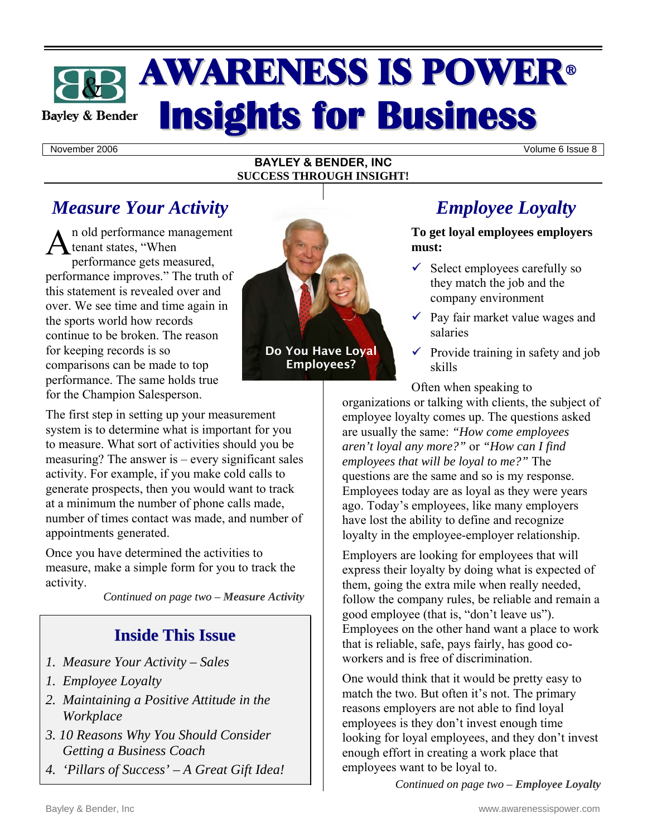## **AWARENESS IS POWER® Insights for Business Bayley & Bender**

November 2006 Volume 6 Issue 8

#### **BAYLEY & BENDER, INC SUCCESS THROUGH INSIGHT!**

## *Measure Your Activity*

n old performance management  $A<sub>n</sub>$  old performance may<br>tenant states, "When norformance orts mea performance gets measured, performance improves." The truth of this statement is revealed over and over. We see time and time again in the sports world how records continue to be broken. The reason for keeping records is so comparisons can be made to top performance. The same holds true for the Champion Salesperson.

The first step in setting up your measurement system is to determine what is important for you to measure. What sort of activities should you be measuring? The answer is – every significant sales activity. For example, if you make cold calls to generate prospects, then you would want to track at a minimum the number of phone calls made, number of times contact was made, and number of appointments generated.

Once you have determined the activities to measure, make a simple form for you to track the activity.

*Continued on page two – Measure Activity*

### **Inside This Issue**

- *1. Measure Your Activity Sales*
- *1. Employee Loyalty*
- *2. Maintaining a Positive Attitude in the Workplace*
- *3. 10 Reasons Why You Should Consider Getting a Business Coach*
- *4. 'Pillars of Success' A Great Gift Idea!*



Do You Have Loyal Employees?

## *Employee Loyalty*

**To get loyal employees employers must:** 

- $\checkmark$  Select employees carefully so they match the job and the company environment
- $\sqrt{ }$  Pay fair market value wages and salaries
- $\checkmark$  Provide training in safety and job skills

Often when speaking to

organizations or talking with clients, the subject of employee loyalty comes up. The questions asked are usually the same: *"How come employees aren't loyal any more?"* or *"How can I find employees that will be loyal to me?"* The questions are the same and so is my response. Employees today are as loyal as they were years ago. Today's employees, like many employers have lost the ability to define and recognize loyalty in the employee-employer relationship.

Employers are looking for employees that will express their loyalty by doing what is expected of them, going the extra mile when really needed, follow the company rules, be reliable and remain a good employee (that is, "don't leave us"). Employees on the other hand want a place to work that is reliable, safe, pays fairly, has good coworkers and is free of discrimination.

One would think that it would be pretty easy to match the two. But often it's not. The primary reasons employers are not able to find loyal employees is they don't invest enough time looking for loyal employees, and they don't invest enough effort in creating a work place that employees want to be loyal to.

*Continued on page two – Employee Loyalty*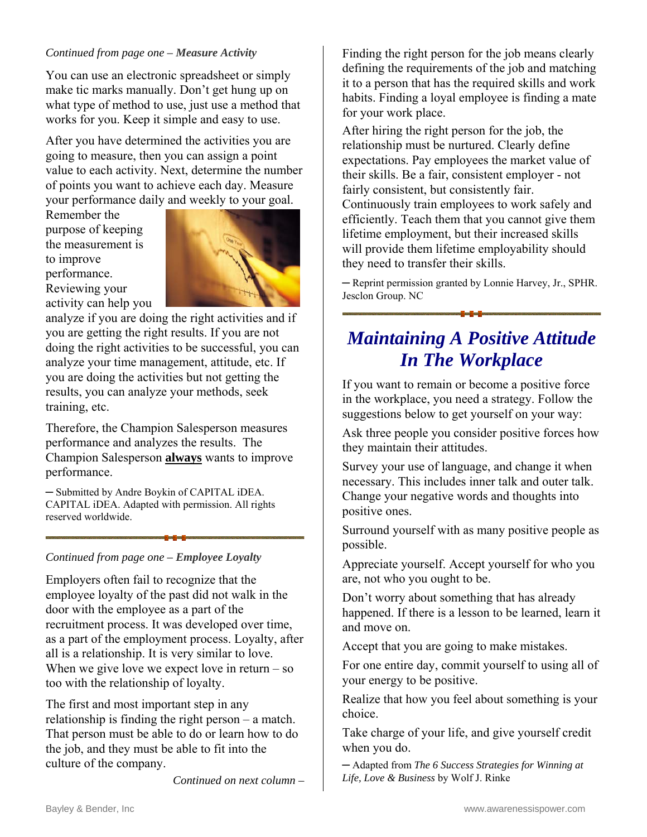#### *Continued from page one – Measure Activity*

You can use an electronic spreadsheet or simply make tic marks manually. Don't get hung up on what type of method to use, just use a method that works for you. Keep it simple and easy to use.

After you have determined the activities you are going to measure, then you can assign a point value to each activity. Next, determine the number of points you want to achieve each day. Measure your performance daily and weekly to your goal.

Remember the purpose of keeping the measurement is to improve performance. Reviewing your activity can help you



analyze if you are doing the right activities and if you are getting the right results. If you are not doing the right activities to be successful, you can analyze your time management, attitude, etc. If you are doing the activities but not getting the results, you can analyze your methods, seek training, etc.

Therefore, the Champion Salesperson measures performance and analyzes the results. The Champion Salesperson **always** wants to improve performance.

─ Submitted by Andre Boykin of CAPITAL iDEA. CAPITAL iDEA. Adapted with permission. All rights reserved worldwide.

#### *Continued from page one – Employee Loyalty*

Employers often fail to recognize that the employee loyalty of the past did not walk in the door with the employee as a part of the recruitment process. It was developed over time, as a part of the employment process. Loyalty, after all is a relationship. It is very similar to love. When we give love we expect love in return  $-$  so too with the relationship of loyalty.

The first and most important step in any relationship is finding the right person – a match. That person must be able to do or learn how to do the job, and they must be able to fit into the culture of the company.

*Continued on next column –* 

Finding the right person for the job means clearly defining the requirements of the job and matching it to a person that has the required skills and work habits. Finding a loyal employee is finding a mate for your work place.

After hiring the right person for the job, the relationship must be nurtured. Clearly define expectations. Pay employees the market value of their skills. Be a fair, consistent employer - not fairly consistent, but consistently fair. Continuously train employees to work safely and efficiently. Teach them that you cannot give them lifetime employment, but their increased skills will provide them lifetime employability should they need to transfer their skills.

─ Reprint permission granted by Lonnie Harvey, Jr., SPHR. Jesclon Group. NC

## *Maintaining A Positive Attitude In The Workplace*

If you want to remain or become a positive force in the workplace, you need a strategy. Follow the suggestions below to get yourself on your way:

Ask three people you consider positive forces how they maintain their attitudes.

Survey your use of language, and change it when necessary. This includes inner talk and outer talk. Change your negative words and thoughts into positive ones.

Surround yourself with as many positive people as possible.

Appreciate yourself. Accept yourself for who you are, not who you ought to be.

Don't worry about something that has already happened. If there is a lesson to be learned, learn it and move on.

Accept that you are going to make mistakes.

For one entire day, commit yourself to using all of your energy to be positive.

Realize that how you feel about something is your choice.

Take charge of your life, and give yourself credit when you do.

─ Adapted from *The 6 Success Strategies for Winning at Life, Love & Business* by Wolf J. Rinke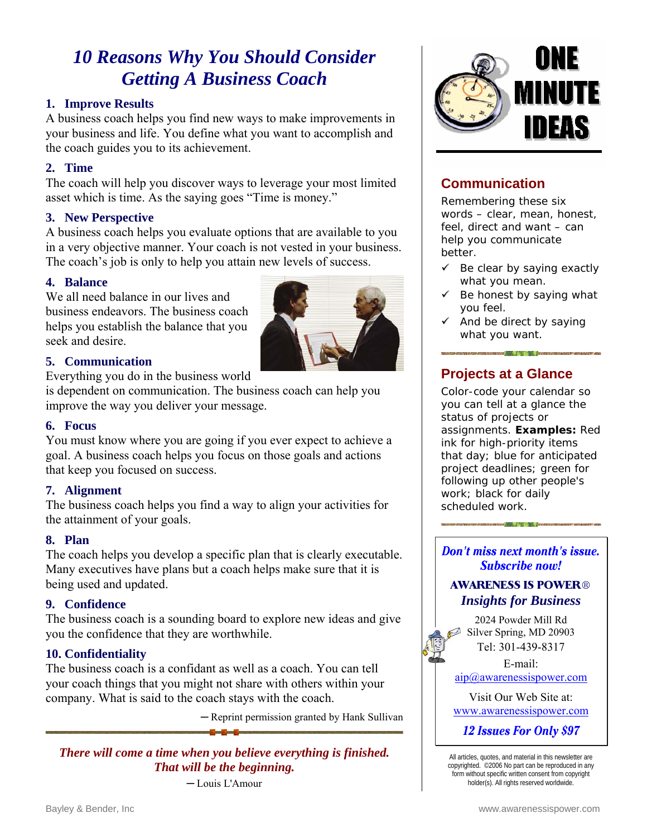## *10 Reasons Why You Should Consider Getting A Business Coach*

#### **1. Improve Results**

A business coach helps you find new ways to make improvements in your business and life. You define what you want to accomplish and the coach guides you to its achievement.

#### **2. Time**

The coach will help you discover ways to leverage your most limited asset which is time. As the saying goes "Time is money."

#### **3. New Perspective**

A business coach helps you evaluate options that are available to you in a very objective manner. Your coach is not vested in your business. The coach's job is only to help you attain new levels of success.

#### **4. Balance**

We all need balance in our lives and business endeavors. The business coach helps you establish the balance that you seek and desire.



Everything you do in the business world

is dependent on communication. The business coach can help you improve the way you deliver your message.

#### **6. Focus**

You must know where you are going if you ever expect to achieve a goal. A business coach helps you focus on those goals and actions that keep you focused on success.

#### **7. Alignment**

The business coach helps you find a way to align your activities for the attainment of your goals.

#### **8. Plan**

The coach helps you develop a specific plan that is clearly executable. Many executives have plans but a coach helps make sure that it is being used and updated.

#### **9. Confidence**

The business coach is a sounding board to explore new ideas and give you the confidence that they are worthwhile.

#### **10. Confidentiality**

The business coach is a confidant as well as a coach. You can tell your coach things that you might not share with others within your company. What is said to the coach stays with the coach.

─ Reprint permission granted by Hank Sullivan

*There will come a time when you believe everything is finished. That will be the beginning.* 

─ Louis L'Amour



#### **Communication**

Remembering these six words – clear, mean, honest, feel, direct and want – can help you communicate better.

- $\checkmark$  Be clear by saying exactly what you mean.
- $\checkmark$  Be honest by saying what you feel.
- $\checkmark$  And be direct by saying what you want.

#### **Projects at a Glance**

Color-code your calendar so you can tell at a glance the status of projects or assignments. **Examples:** Red ink for high-priority items that day; blue for anticipated project deadlines; green for following up other people's work; black for daily scheduled work.

**Don't miss next month's issue.** Subscribe now!

and the cold National Cold in the cold of the cold

#### **AWARENESS IS POWER®** *Insights for Business*

2024 Powder Mill Rd Silver Spring, MD 20903 Tel: 301-439-8317

E-mail: [aip@awarenessispower.com](mailto: aip@awarenessispower.com)

Visit Our Web Site at: <www.awarenessispower.com>

12 Issues For Only \$97

All articles, quotes, and material in this newsletter are copyrighted. ©2006 No part can be reproduced in any form without specific written consent from copyright holder(s). All rights reserved worldwide.

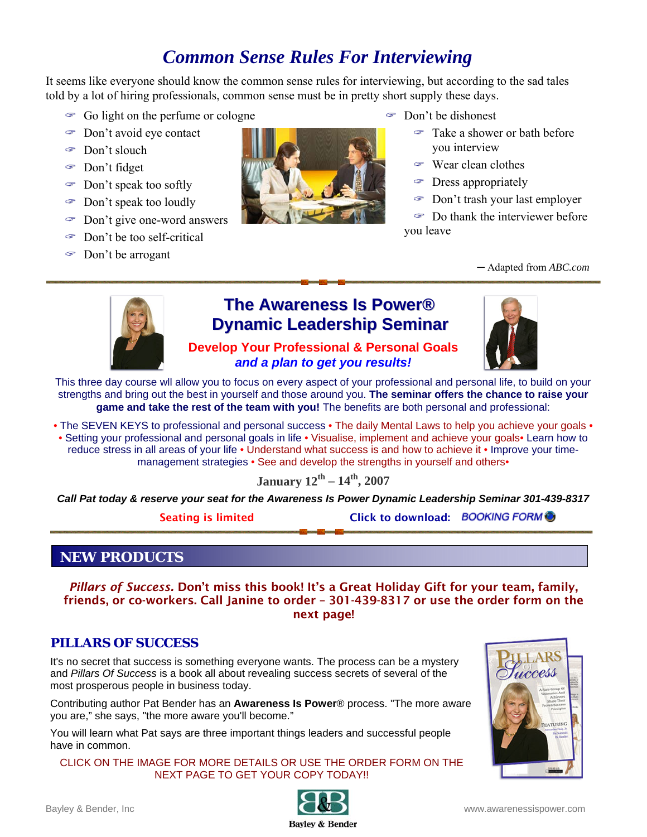## *Common Sense Rules For Interviewing*

It seems like everyone should know the common sense rules for interviewing, but according to the sad tales told by a lot of hiring professionals, common sense must be in pretty short supply these days.

- $\circ$  Go light on the perfume or cologne
- " Don't avoid eye contact
- " Don't slouch
- " Don't fidget
- " Don't speak too softly
- " Don't speak too loudly
- Don't give one-word answers
- " Don't be too self-critical
- " Don't be arrogant
- 
- " Don't be dishonest
	- " Take a shower or bath before you interview
	- " Wear clean clothes
	- Dress appropriately
	- " Don't trash your last employer

 $\circ$  Do thank the interviewer before you leave

─ Adapted from *ABC.com*



## **The [Awareness](http://www.awarenessispower.com/NEWAIPSeminars.html) Is Power® Dynamic Leadership Seminar**

**Develop Your Professional & Personal Goals** 

This three day course wll allow you to focus on every aspect of your professional and personal life, to build on your strengths and bring out the best in yourself and those around you. **The seminar offers the chance to raise your game and take the rest of the team with you!** The benefits are both personal and professional:

*and a plan to get you results!* 

• The SEVEN KEYS to professional and personal success • The daily Mental Laws to help you achieve your goals • • Setting your professional and personal goals in life • Visualise, implement and achieve your goals• Learn how to reduce stress in all areas of your life • Understand what success is and how to achieve it • Improve your timemanagement strategies • See and develop the strengths in yourself and others•

#### **January 12th – 14th, 2007**

*Call Pat today & reserve your seat for the Awareness Is Power Dynamic Leadership Seminar 301-439-8317* 

Seating is limited Click to download: BOOKING FORM

#### **NEW PRODUCTS**

*Pillars of Success.* Don't miss this book! It's a Great Holiday Gift for your team, family, friends, or co-workers. Call Janine to order – 301-439-8317 or use the order form on the next page!

#### **PILLARS OF SUCCESS**

It's no secret that success is something everyone wants. The process can be a mystery and *Pillars Of Success* is a book all about revealing success secrets of several of the most prosperous people in business today.

Contributing author Pat Bender has an **Awareness Is Power**® process. "The more aware you are," she says, "the more aware you'll become."

You will learn what Pat says are three important things leaders and successful people have in common.

CLICK ON THE IMAGE FOR MORE DETAILS OR USE THE ORDER FORM ON THE NEXT PAGE TO GET YOUR COPY TODAY!!